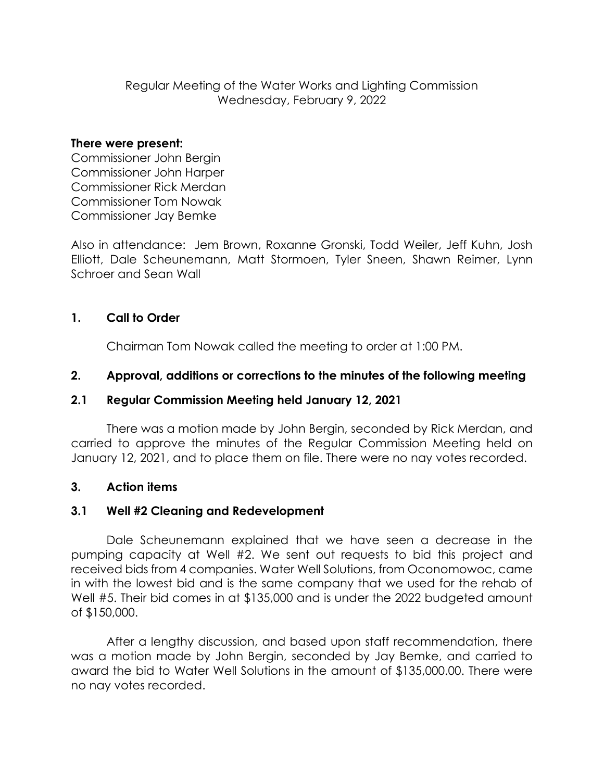Regular Meeting of the Water Works and Lighting Commission Wednesday, February 9, 2022

#### **There were present:**

Commissioner John Bergin Commissioner John Harper Commissioner Rick Merdan Commissioner Tom Nowak Commissioner Jay Bemke

Also in attendance: Jem Brown, Roxanne Gronski, Todd Weiler, Jeff Kuhn, Josh Elliott, Dale Scheunemann, Matt Stormoen, Tyler Sneen, Shawn Reimer, Lynn Schroer and Sean Wall

# **1. Call to Order**

Chairman Tom Nowak called the meeting to order at 1:00 PM.

## **2. Approval, additions or corrections to the minutes of the following meeting**

#### **2.1 Regular Commission Meeting held January 12, 2021**

There was a motion made by John Bergin, seconded by Rick Merdan, and carried to approve the minutes of the Regular Commission Meeting held on January 12, 2021, and to place them on file. There were no nay votes recorded.

# **3. Action items**

# **3.1 Well #2 Cleaning and Redevelopment**

Dale Scheunemann explained that we have seen a decrease in the pumping capacity at Well #2. We sent out requests to bid this project and received bids from 4 companies. Water Well Solutions, from Oconomowoc, came in with the lowest bid and is the same company that we used for the rehab of Well #5. Their bid comes in at \$135,000 and is under the 2022 budgeted amount of \$150,000.

After a lengthy discussion, and based upon staff recommendation, there was a motion made by John Bergin, seconded by Jay Bemke, and carried to award the bid to Water Well Solutions in the amount of \$135,000.00. There were no nay votes recorded.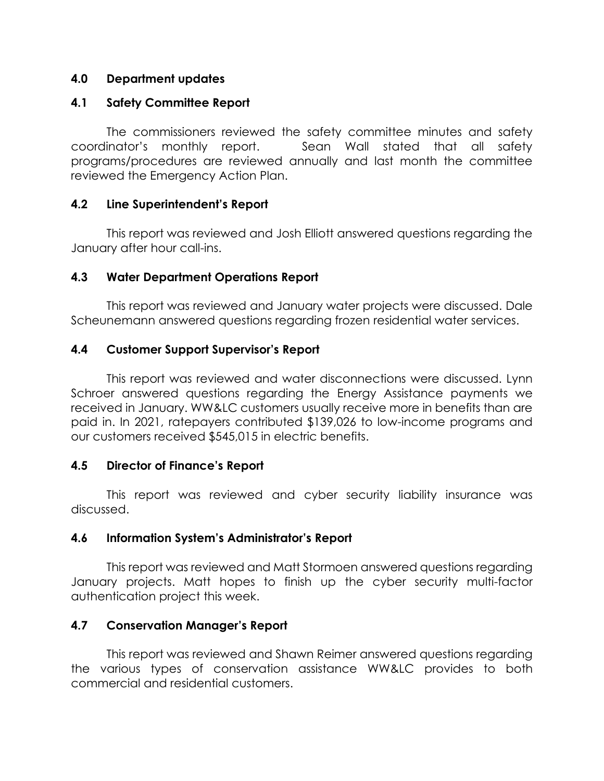# **4.0 Department updates**

## **4.1 Safety Committee Report**

The commissioners reviewed the safety committee minutes and safety coordinator's monthly report. Sean Wall stated that all safety programs/procedures are reviewed annually and last month the committee reviewed the Emergency Action Plan.

## **4.2 Line Superintendent's Report**

This report was reviewed and Josh Elliott answered questions regarding the January after hour call-ins.

## **4.3 Water Department Operations Report**

This report was reviewed and January water projects were discussed. Dale Scheunemann answered questions regarding frozen residential water services.

## **4.4 Customer Support Supervisor's Report**

This report was reviewed and water disconnections were discussed. Lynn Schroer answered questions regarding the Energy Assistance payments we received in January. WW&LC customers usually receive more in benefits than are paid in. In 2021, ratepayers contributed \$139,026 to low-income programs and our customers received \$545,015 in electric benefits.

# **4.5 Director of Finance's Report**

This report was reviewed and cyber security liability insurance was discussed.

#### **4.6 Information System's Administrator's Report**

This report was reviewed and Matt Stormoen answered questions regarding January projects. Matt hopes to finish up the cyber security multi-factor authentication project this week.

# **4.7 Conservation Manager's Report**

This report was reviewed and Shawn Reimer answered questions regarding the various types of conservation assistance WW&LC provides to both commercial and residential customers.